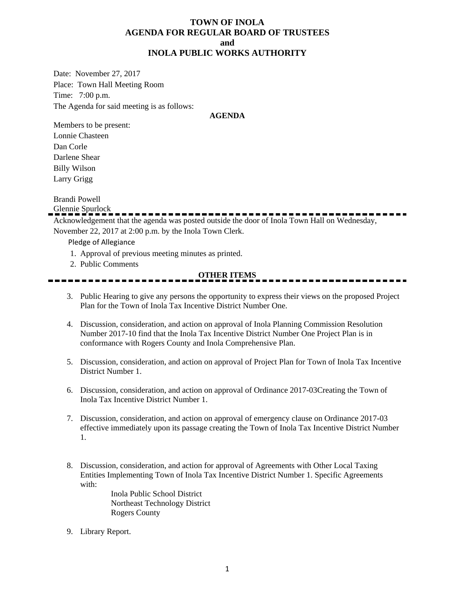#### **TOWN OF INOLA AGENDA FOR REGULAR BOARD OF TRUSTEES and INOLA PUBLIC WORKS AUTHORITY**

Date: November 27, 2017 Place: Town Hall Meeting Room Time: 7:00 p.m. The Agenda for said meeting is as follows:

#### **AGENDA**

Members to be present: Lonnie Chasteen Dan Corle Darlene Shear Billy Wilson Larry Grigg

Brandi Powell

Glennie Spurlock

Acknowledgement that the agenda was posted outside the door of Inola Town Hall on Wednesday, November 22, 2017 at 2:00 p.m. by the Inola Town Clerk.

Pledge of Allegiance

- 1. Approval of previous meeting minutes as printed.
- 2. Public Comments

#### **OTHER ITEMS**

- 3. Public Hearing to give any persons the opportunity to express their views on the proposed Project Plan for the Town of Inola Tax Incentive District Number One.
- 4. Discussion, consideration, and action on approval of Inola Planning Commission Resolution Number 2017-10 find that the Inola Tax Incentive District Number One Project Plan is in conformance with Rogers County and Inola Comprehensive Plan.
- 5. Discussion, consideration, and action on approval of Project Plan for Town of Inola Tax Incentive District Number 1.
- 6. Discussion, consideration, and action on approval of Ordinance 2017-03Creating the Town of Inola Tax Incentive District Number 1.
- 7. Discussion, consideration, and action on approval of emergency clause on Ordinance 2017-03 effective immediately upon its passage creating the Town of Inola Tax Incentive District Number 1.
- 8. Discussion, consideration, and action for approval of Agreements with Other Local Taxing Entities Implementing Town of Inola Tax Incentive District Number 1. Specific Agreements with:

Inola Public School District Northeast Technology District Rogers County

9. Library Report.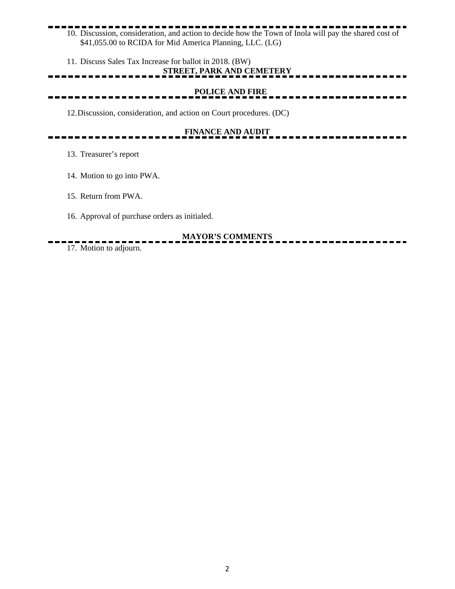### 10. Discussion, consideration, and action to decide how the Town of Inola will pay the shared cost of \$41,055.00 to RCIDA for Mid America Planning, LLC. (LG)

11. Discuss Sales Tax Increase for ballot in 2018. (BW)

### **STREET, PARK AND CEMETERY**

 **POLICE AND FIRE** \_\_\_\_\_\_\_\_\_\_\_\_\_\_\_

12.Discussion, consideration, and action on Court procedures. (DC)

# **FINANCE AND AUDIT**

- 13. Treasurer's report
- 14. Motion to go into PWA.
- 15. Return from PWA.
- 16. Approval of purchase orders as initialed.

## **MAYOR'S COMMENTS**

17. Motion to adjourn.